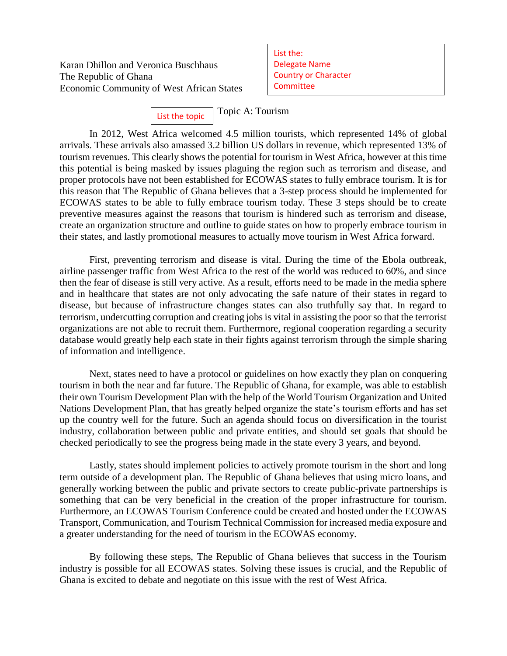Karan Dhillon and Veronica Buschhaus The Republic of Ghana Economic Community of West African States List the: Delegate Name Country or Character **Committee** 

Topic A: Tourism List the topic

In 2012, West Africa welcomed 4.5 million tourists, which represented 14% of global arrivals. These arrivals also amassed 3.2 billion US dollars in revenue, which represented 13% of tourism revenues. This clearly shows the potential for tourism in West Africa, however at this time this potential is being masked by issues plaguing the region such as terrorism and disease, and proper protocols have not been established for ECOWAS states to fully embrace tourism. It is for this reason that The Republic of Ghana believes that a 3-step process should be implemented for ECOWAS states to be able to fully embrace tourism today. These 3 steps should be to create preventive measures against the reasons that tourism is hindered such as terrorism and disease, create an organization structure and outline to guide states on how to properly embrace tourism in their states, and lastly promotional measures to actually move tourism in West Africa forward.

First, preventing terrorism and disease is vital. During the time of the Ebola outbreak, airline passenger traffic from West Africa to the rest of the world was reduced to 60%, and since then the fear of disease is still very active. As a result, efforts need to be made in the media sphere and in healthcare that states are not only advocating the safe nature of their states in regard to disease, but because of infrastructure changes states can also truthfully say that. In regard to terrorism, undercutting corruption and creating jobs is vital in assisting the poor so that the terrorist organizations are not able to recruit them. Furthermore, regional cooperation regarding a security database would greatly help each state in their fights against terrorism through the simple sharing of information and intelligence.

Next, states need to have a protocol or guidelines on how exactly they plan on conquering tourism in both the near and far future. The Republic of Ghana, for example, was able to establish their own Tourism Development Plan with the help of the World Tourism Organization and United Nations Development Plan, that has greatly helped organize the state's tourism efforts and has set up the country well for the future. Such an agenda should focus on diversification in the tourist industry, collaboration between public and private entities, and should set goals that should be checked periodically to see the progress being made in the state every 3 years, and beyond.

Lastly, states should implement policies to actively promote tourism in the short and long term outside of a development plan. The Republic of Ghana believes that using micro loans, and generally working between the public and private sectors to create public-private partnerships is something that can be very beneficial in the creation of the proper infrastructure for tourism. Furthermore, an ECOWAS Tourism Conference could be created and hosted under the ECOWAS Transport, Communication, and Tourism Technical Commission for increased media exposure and a greater understanding for the need of tourism in the ECOWAS economy.

By following these steps, The Republic of Ghana believes that success in the Tourism industry is possible for all ECOWAS states. Solving these issues is crucial, and the Republic of Ghana is excited to debate and negotiate on this issue with the rest of West Africa.